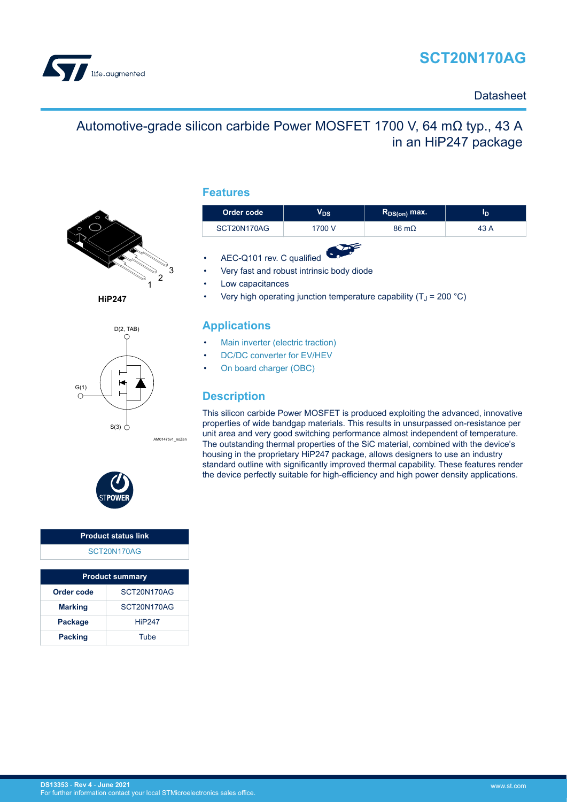# **SCT20N170AG**

<span id="page-0-0"></span>

#### **Datasheet**

## Automotive-grade silicon carbide Power MOSFET 1700 V, 64 mΩ typ., 43 A in an HiP247 package



**HiP247**



**Features**

| Order code  | ∨ps    | $R_{DS(on)}$ max.    | סי   |
|-------------|--------|----------------------|------|
| SCT20N170AG | 1700 V | $86 \text{ m}\Omega$ | 43 A |
|             |        |                      |      |

- AEC-Q101 rev. C qualified
- Very fast and robust intrinsic body diode
- Low capacitances
- Very high operating junction temperature capability ( $T_J$  = 200 °C)

#### **Applications**

- [Main inverter \(electric traction\)](https://www.st.com/en/applications/electro-mobility/main-inverter-electric-traction.html?ecmp=tt9471_gl_link_feb2019&rt=ds&id=DS13353)
- [DC/DC converter for EV/HEV](https://www.st.com/en/applications/electro-mobility/dc-dc-converter-for-ev-hev.html?ecmp=tt9471_gl_link_feb2019&rt=ds&id=DS13353)
- [On board charger \(OBC\)](https://www.st.com/en/applications/electro-mobility/on-board-charger-obc.html?ecmp=tt9471_gl_link_feb2019&rt=ds&id=DS13353)

### **Description**

This silicon carbide Power MOSFET is produced exploiting the advanced, innovative properties of wide bandgap materials. This results in unsurpassed on-resistance per unit area and very good switching performance almost independent of temperature. The outstanding thermal properties of the SiC material, combined with the device's housing in the proprietary HiP247 package, allows designers to use an industry standard outline with significantly improved thermal capability. These features render the device perfectly suitable for high-efficiency and high power density applications.



# **Product status link**

[SCT20N170AG](https://www.st.com/en/product/SCT20N170AG?ecmp=tt9470_gl_link_feb2019&rt=ds&id=DS13353)

| <b>Product summary</b> |               |  |  |  |
|------------------------|---------------|--|--|--|
| Order code             | SCT20N170AG   |  |  |  |
| <b>Marking</b>         | SCT20N170AG   |  |  |  |
| <b>Package</b>         | <b>HiP247</b> |  |  |  |
| <b>Packing</b>         | Tube          |  |  |  |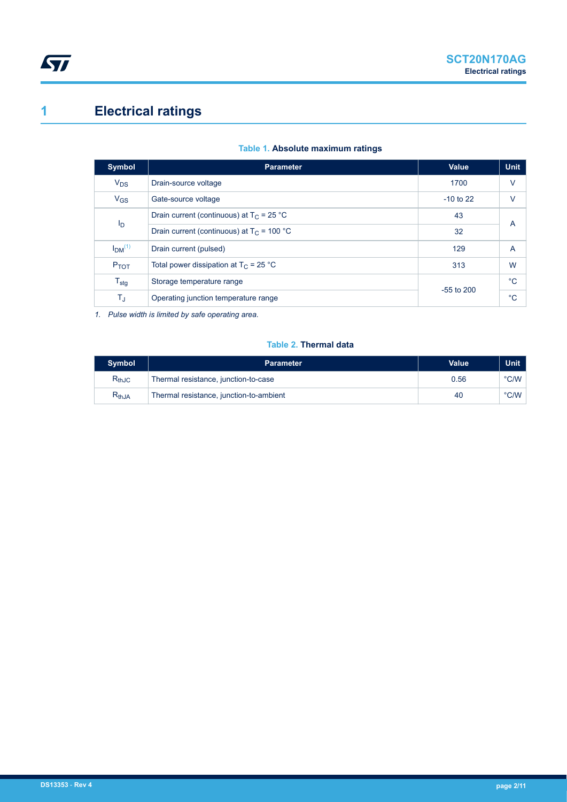# **1 Electrical ratings**

<span id="page-1-0"></span>ST

| <b>Symbol</b>                  | <b>Parameter</b>                             | Value        | <b>Unit</b>    |  |
|--------------------------------|----------------------------------------------|--------------|----------------|--|
| $V_{DS}$                       | Drain-source voltage                         | 1700         | $\vee$         |  |
| $V_{GS}$                       | Gate-source voltage                          | $-10$ to 22  | v              |  |
|                                | Drain current (continuous) at $T_c$ = 25 °C  | 43           | A              |  |
| I <sub>D</sub>                 | Drain current (continuous) at $T_c$ = 100 °C | 32           |                |  |
| I <sub>DM</sub> <sup>(1)</sup> | Drain current (pulsed)                       | 129          | $\overline{A}$ |  |
| P <sub>TOT</sub>               | Total power dissipation at $T_C = 25 °C$     | 313          | W              |  |
| $T_{\text{stg}}$               | Storage temperature range                    | $-55$ to 200 | $^{\circ}C$    |  |
| $T_{\text{J}}$                 | Operating junction temperature range         |              | $^{\circ}C$    |  |

*1. Pulse width is limited by safe operating area.*

#### **Table 2. Thermal data**

| <b>Symbol</b> | <b>Parameter</b>                        | <b>Value</b> | <b>Unit</b> |
|---------------|-----------------------------------------|--------------|-------------|
| $R_{thJC}$    | Thermal resistance, junction-to-case    | 0.56         | °C/W        |
| $R_{thJA}$    | Thermal resistance, junction-to-ambient | 40           | °C/W        |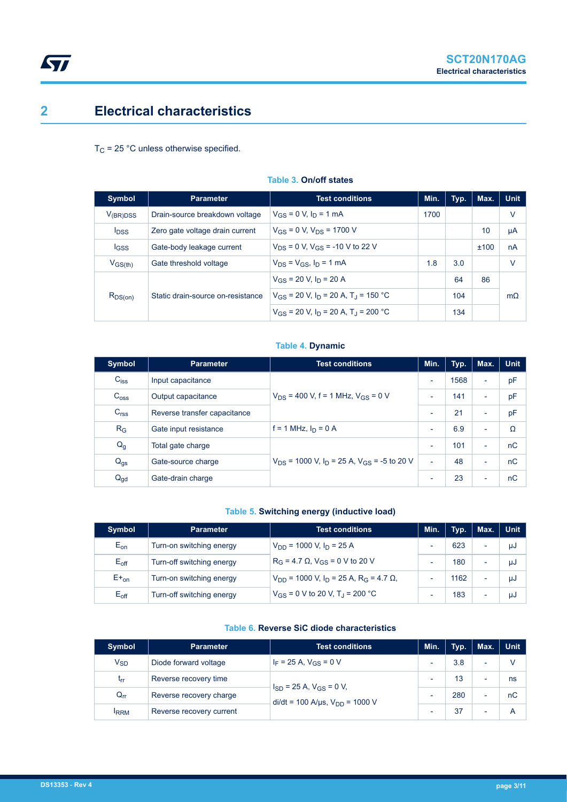### **2 Electrical characteristics**

<span id="page-2-0"></span> $\sqrt{2}$ 

 $T_C$  = 25 °C unless otherwise specified.

| <b>Symbol</b>           | <b>Parameter</b>                  | <b>Test conditions</b>                                          | Min. | Typ. | Max. | <b>Unit</b> |
|-------------------------|-----------------------------------|-----------------------------------------------------------------|------|------|------|-------------|
| $V_{(BR)DSS}$           | Drain-source breakdown voltage    | $V_{GS} = 0$ V, $I_D = 1$ mA                                    | 1700 |      |      | V           |
| <b>I</b> <sub>DSS</sub> | Zero gate voltage drain current   | $V_{GS} = 0 V$ , $V_{DS} = 1700 V$                              |      |      | 10   | μA          |
| <b>IGSS</b>             | Gate-body leakage current         | $V_{DS}$ = 0 V, $V_{GS}$ = -10 V to 22 V                        |      |      | ±100 | nA          |
| $V_{GS(th)}$            | Gate threshold voltage            | $V_{DS} = V_{GS}$ , $I_D = 1$ mA                                | 1.8  | 3.0  |      | V           |
|                         | Static drain-source on-resistance | $V_{GS}$ = 20 V, $I_D$ = 20 A                                   |      | 64   | 86   |             |
| $R_{DS(on)}$            |                                   | $V_{GS}$ = 20 V, I <sub>D</sub> = 20 A, T <sub>J</sub> = 150 °C |      | 104  |      | $m\Omega$   |
|                         |                                   | $V_{GS}$ = 20 V, $I_D$ = 20 A, T <sub>J</sub> = 200 °C          |      | 134  |      |             |

#### **Table 3. On/off states**

#### **Table 4. Dynamic**

| <b>Symbol</b>    | <b>Parameter</b>             | <b>Test conditions</b>                                 | Min.                     | Typ. | Max.                     | <b>Unit</b> |
|------------------|------------------------------|--------------------------------------------------------|--------------------------|------|--------------------------|-------------|
| $C_{\text{iss}}$ | Input capacitance            |                                                        | $\overline{\phantom{a}}$ | 1568 | ٠                        | pF          |
| C <sub>oss</sub> | Output capacitance           | $V_{DS}$ = 400 V, f = 1 MHz, $V_{GS}$ = 0 V            | $\overline{\phantom{a}}$ | 141  | ٠                        | pF          |
| C <sub>rss</sub> | Reverse transfer capacitance |                                                        | $\overline{\phantom{a}}$ | 21   | ٠                        | pF          |
| $R_G$            | Gate input resistance        | f = 1 MHz, $I_D = 0$ A                                 | $\overline{\phantom{a}}$ | 6.9  | $\overline{\phantom{0}}$ | Ω           |
| $Q_g$            | Total gate charge            |                                                        | $\overline{\phantom{a}}$ | 101  | ٠                        | nC          |
| $Q_{gs}$         | Gate-source charge           | $V_{DS}$ = 1000 V, $I_D$ = 25 A, $V_{GS}$ = -5 to 20 V | ٠                        | 48   | $\overline{\phantom{0}}$ | nC          |
| $Q_{gd}$         | Gate-drain charge            |                                                        | $\overline{\phantom{a}}$ | 23   | $\overline{\phantom{a}}$ | nC          |

#### **Table 5. Switching energy (inductive load)**

| <b>Symbol</b>    | <b>Parameter</b>          | <b>Test conditions</b>                                                    | Min.                     | Typ. | Max.                     | <b>Unit</b> |
|------------------|---------------------------|---------------------------------------------------------------------------|--------------------------|------|--------------------------|-------------|
| $E_{on}$         | Turn-on switching energy  | $V_{DD}$ = 1000 V, $I_D$ = 25 A                                           | ٠                        | 623  | $\overline{\phantom{0}}$ | μJ          |
| $E_{\text{off}}$ | Turn-off switching energy | $R_G = 4.7 \Omega$ , $V_{GS} = 0 V$ to 20 V                               | ٠                        | 180  | ۰                        | μJ          |
| $E_{\text{on}}$  | Turn-on switching energy  | $V_{DD}$ = 1000 V, I <sub>D</sub> = 25 A, R <sub>G</sub> = 4.7 $\Omega$ , | $\overline{\phantom{0}}$ | 1162 | $\overline{\phantom{0}}$ | μJ          |
| $E_{\text{off}}$ | Turn-off switching energy | $V_{GS}$ = 0 V to 20 V, T <sub>J</sub> = 200 °C                           | ۰                        | 183  | ۰                        | μJ          |

#### **Table 6. Reverse SiC diode characteristics**

| Symbol      | <b>Test conditions</b><br><b>Parameter</b> |                                                                                        | Min.                     | Typ. | Max.                     | <b>Unit</b> |
|-------------|--------------------------------------------|----------------------------------------------------------------------------------------|--------------------------|------|--------------------------|-------------|
| $V_{SD}$    | Diode forward voltage                      | $I_F$ = 25 A, $V_{GS}$ = 0 V                                                           | $\overline{\phantom{0}}$ | 3.8  | -                        |             |
| $t_{rr}$    | Reverse recovery time                      | $I_{SD}$ = 25 A, $V_{GS}$ = 0 V,<br>$di/dt = 100$ A/ $\mu$ s, V <sub>DD</sub> = 1000 V | $\overline{\phantom{0}}$ | 13   | $\overline{\phantom{0}}$ | ns          |
| $Q_{rr}$    | Reverse recovery charge                    |                                                                                        | $\overline{\phantom{0}}$ | 280  | $\overline{\phantom{0}}$ | nC          |
| <b>IRRM</b> | Reverse recovery current                   |                                                                                        | ٠                        | 37   | $\overline{\phantom{0}}$ |             |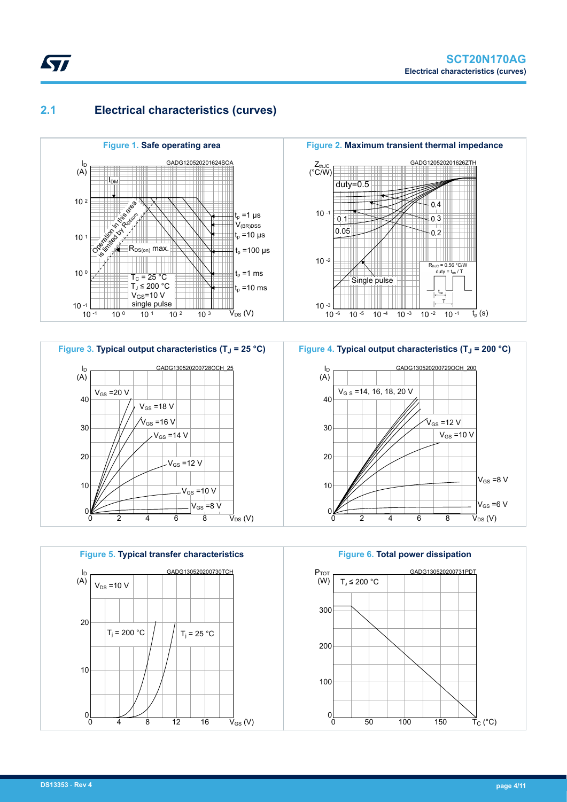### **2.1 Electrical characteristics (curves)**

<span id="page-3-0"></span>*kyi* 



**Figure 3. Typical output characteristics (TJ = 25 °C)** GADG130520200728OCH\_25 40 30 20 10  $\Omega$ 0 2 4 6 8 ID (A)  $\vec{\mathsf{V}}_\mathsf{DS}$  (V)  $-V_{GS}$  =12 V  $V_{GS} = 8 V$  $V_{GS} = 10 V$  $V_{GS}$  =14 V  $V_{GS}$  =16 V  $V_{GS}$  =20 V  $V_{GS}$  =18 V



**Figure 2. Maximum transient thermal impedance** GADG120520201626ZTH  $Z_{thJC}$  $(^{\circ}$ C/W) duty=0.5 4  $10 - 1$  $0.1$ 3 0.05  $0.2$ 10 -2  $R_{th,IC}$  = 0.56 °C/W Single pulse t<sub>or</sub> T  $10 - 3$   $10 - 6$  $10^{-5}$  10 -4 10 -3 10 -2 10 -1 t<sub>p</sub> (s)



**Figure 6. Total power dissipation** GADG130520200731PDT 300 200 100  $0<sub>0</sub>$ 0 50 100 150  $P_{TOT}$  $(W)$  $\vec{\mathsf{T}}_{\text{C}}$  (°C)  $T_d \leq 200 °C$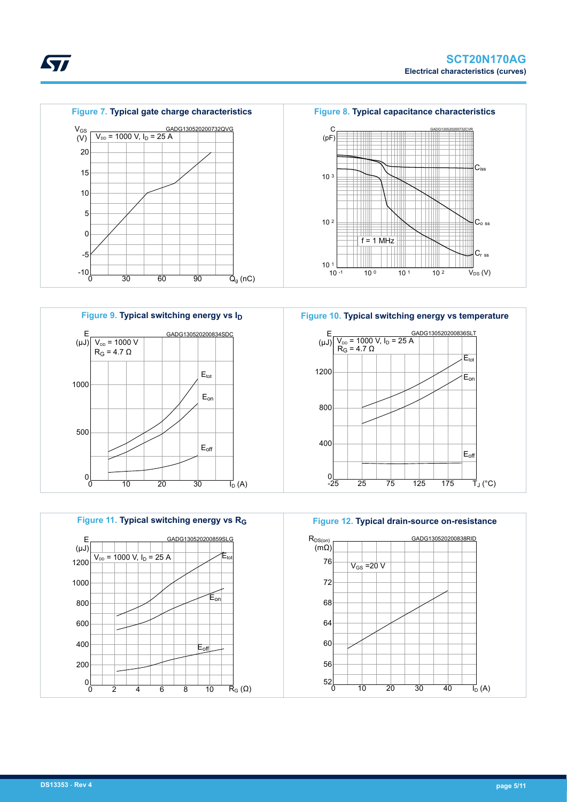





**Figure 10. Typical switching energy vs temperature** GADG130520200836SLT 1200 800 400 E (μJ)  $\begin{cases} V_{\text{DD}} = 1000 \text{ V}, \text{ I}_\text{D} = 25 \text{ A} \\ \text{R}_\text{G} = 4.7 \text{ }\Omega \end{cases}$  $E_{or}$ Eoff  $R_G$  = 4.7  $\Omega$ 



 $0\frac{1}{25}$ 

-25 25 75 125 175

 $\overline{\mathsf{T}}_{\mathsf{J}}$  (°C)

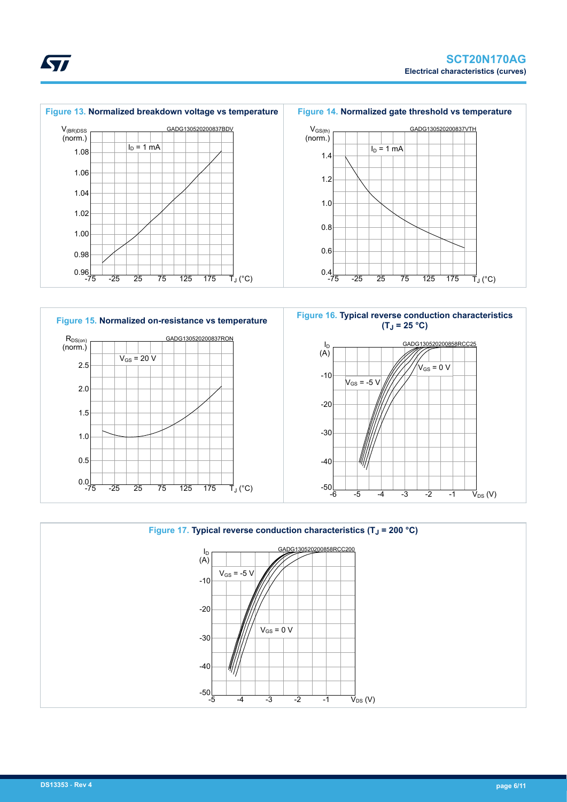







ST

 $\vec{V}_{DS}$  (V)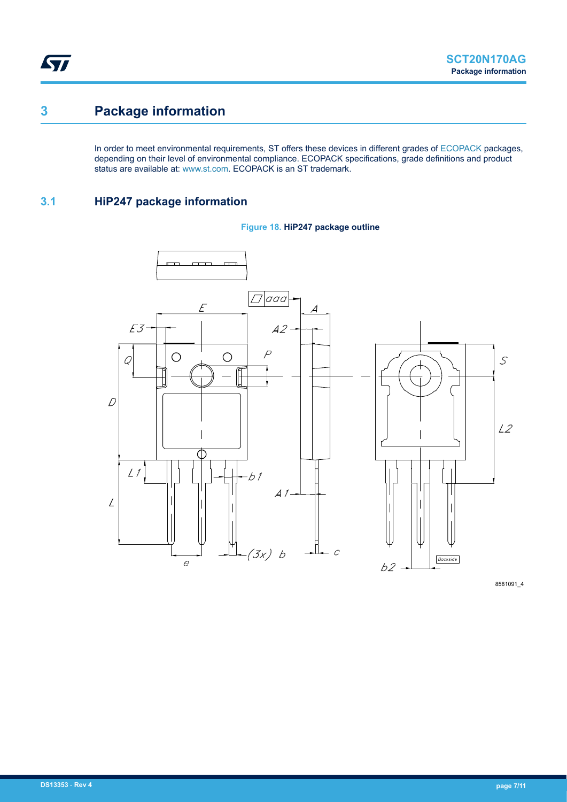### <span id="page-6-0"></span>**3 Package information**

In order to meet environmental requirements, ST offers these devices in different grades of [ECOPACK](https://www.st.com/ecopack) packages, depending on their level of environmental compliance. ECOPACK specifications, grade definitions and product status are available at: [www.st.com.](http://www.st.com) ECOPACK is an ST trademark.

### **3.1 HiP247 package information**





8581091\_4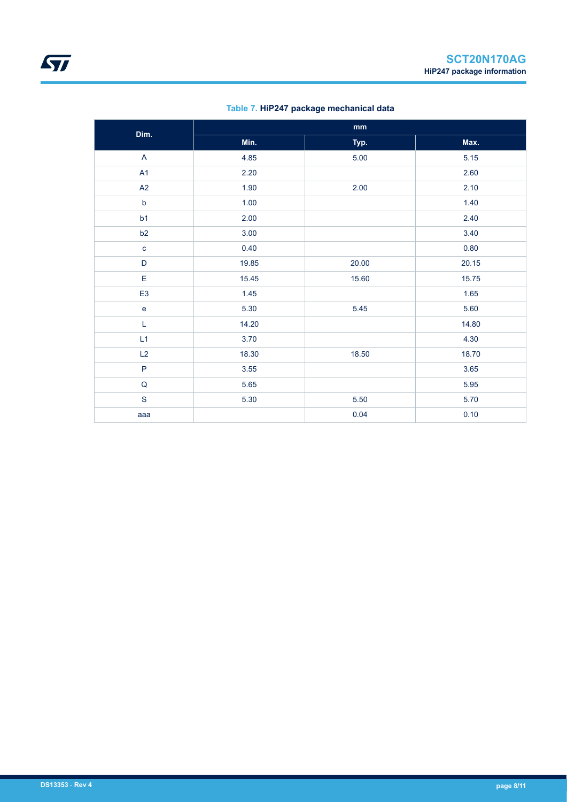|                         | $\mathop{\text{mm}}\nolimits$ |       |       |  |  |  |
|-------------------------|-------------------------------|-------|-------|--|--|--|
| Dim.                    | Min.                          | Typ.  | Max.  |  |  |  |
| $\overline{\mathsf{A}}$ | 4.85                          | 5.00  | 5.15  |  |  |  |
| A1                      | 2.20                          |       | 2.60  |  |  |  |
| A2                      | 1.90                          | 2.00  | 2.10  |  |  |  |
| $\mathsf b$             | 1.00                          |       | 1.40  |  |  |  |
| b1                      | 2.00                          |       | 2.40  |  |  |  |
| b2                      | 3.00                          |       | 3.40  |  |  |  |
| $\mathbf c$             | 0.40                          |       | 0.80  |  |  |  |
| $\mathsf D$             | 19.85                         | 20.00 | 20.15 |  |  |  |
| E                       | 15.45                         | 15.60 | 15.75 |  |  |  |
| E <sub>3</sub>          | 1.45                          |       | 1.65  |  |  |  |
| $\mathbf{e}$            | 5.30                          | 5.45  | 5.60  |  |  |  |
| L                       | 14.20                         |       | 14.80 |  |  |  |
| L1                      | 3.70                          |       | 4.30  |  |  |  |
| L2                      | 18.30                         | 18.50 | 18.70 |  |  |  |
| $\mathsf{P}$            | 3.55                          |       | 3.65  |  |  |  |
| ${\sf Q}$               | 5.65                          |       | 5.95  |  |  |  |
| $\mathbf S$             | 5.30                          | 5.50  | 5.70  |  |  |  |
| aaa                     |                               | 0.04  | 0.10  |  |  |  |

#### **Table 7. HiP247 package mechanical data**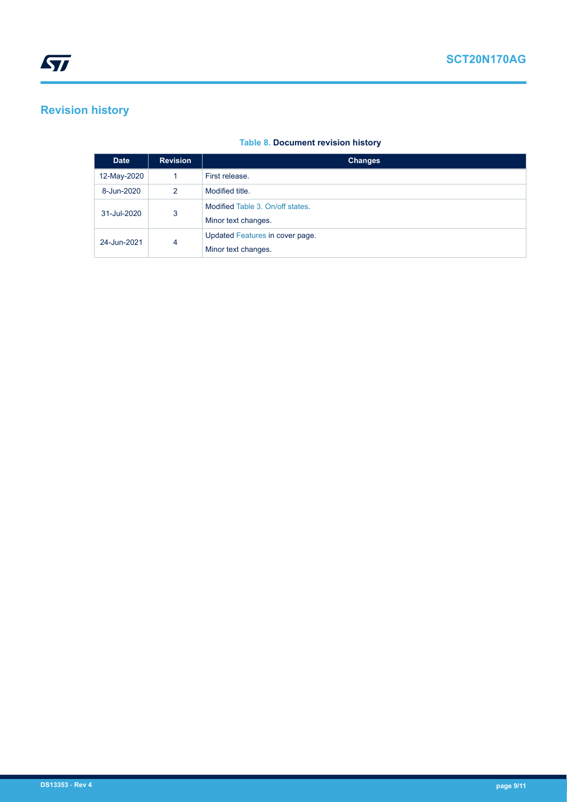## <span id="page-8-0"></span>**Revision history**

#### **Table 8. Document revision history**

| <b>Date</b>      | <b>Revision</b> | <b>Changes</b>                   |
|------------------|-----------------|----------------------------------|
| 12-May-2020      |                 | First release.                   |
| 8-Jun-2020       | 2               | Modified title.                  |
| 31-Jul-2020      | 3               | Modified Table 3. On/off states. |
|                  |                 | Minor text changes.              |
| 4<br>24-Jun-2021 |                 | Updated Features in cover page.  |
|                  |                 | Minor text changes.              |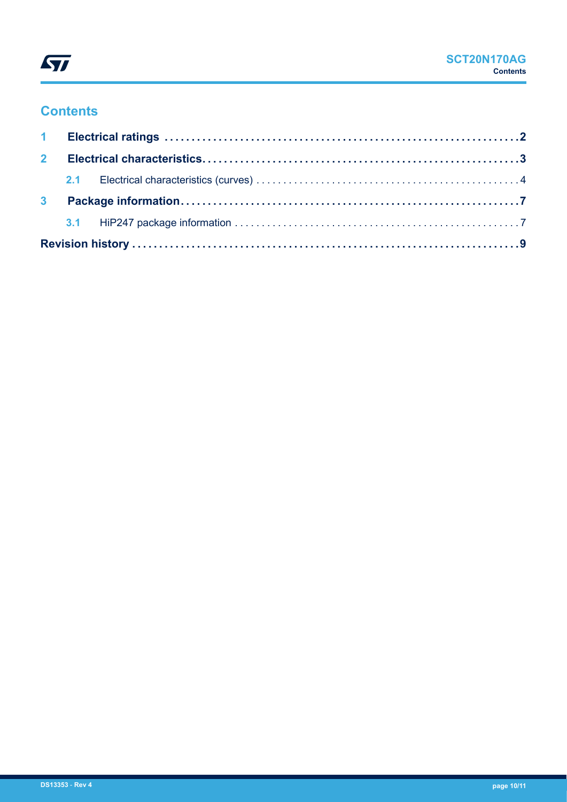

## **Contents**

| 3 <sup>1</sup> |  |  |
|----------------|--|--|
|                |  |  |
|                |  |  |